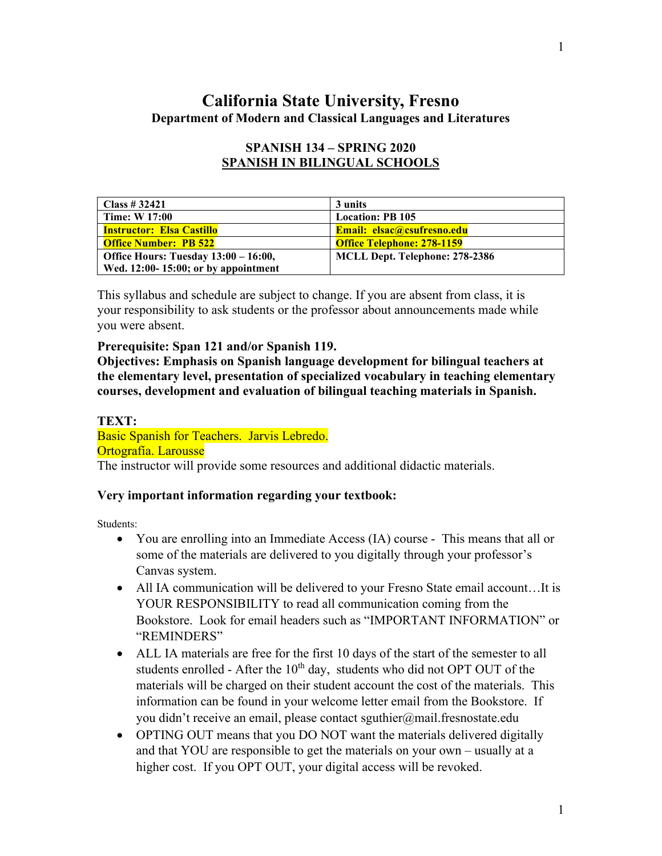## **California State University, Fresno Department of Modern and Classical Languages and Literatures**

| Class # $32421$                        | 3 units                           |
|----------------------------------------|-----------------------------------|
| <b>Time: W 17:00</b>                   | <b>Location: PB 105</b>           |
| <b>Instructor: Elsa Castillo</b>       | <b>Email: elsac@csufresno.edu</b> |
| <b>Office Number: PB 522</b>           | <b>Office Telephone: 278-1159</b> |
| Office Hours: Tuesday 13:00 – 16:00,   | MCLL Dept. Telephone: 278-2386    |
| Wed. $12:00-15:00$ ; or by appointment |                                   |

## **SPANISH 134 – SPRING 2020 SPANISH IN BILINGUAL SCHOOLS**

This syllabus and schedule are subject to change. If you are absent from class, it is your responsibility to ask students or the professor about announcements made while you were absent.

#### **Prerequisite: Span 121 and/or Spanish 119.**

**Objectives: Emphasis on Spanish language development for bilingual teachers at the elementary level, presentation of specialized vocabulary in teaching elementary courses, development and evaluation of bilingual teaching materials in Spanish.**

#### **TEXT:**

Basic Spanish for Teachers. Jarvis Lebredo.

### Ortografía. Larousse

The instructor will provide some resources and additional didactic materials.

### **Very important information regarding your textbook:**

Students:

- You are enrolling into an Immediate Access (IA) course This means that all or some of the materials are delivered to you digitally through your professor's Canvas system.
- All IA communication will be delivered to your Fresno State email account…It is YOUR RESPONSIBILITY to read all communication coming from the Bookstore. Look for email headers such as "IMPORTANT INFORMATION" or "REMINDERS"
- ALL IA materials are free for the first 10 days of the start of the semester to all students enrolled - After the  $10<sup>th</sup>$  day, students who did not OPT OUT of the materials will be charged on their student account the cost of the materials. This information can be found in your welcome letter email from the Bookstore. If you didn't receive an email, please contact sguthier@mail.fresnostate.edu
- OPTING OUT means that you DO NOT want the materials delivered digitally and that YOU are responsible to get the materials on your own – usually at a higher cost. If you OPT OUT, your digital access will be revoked.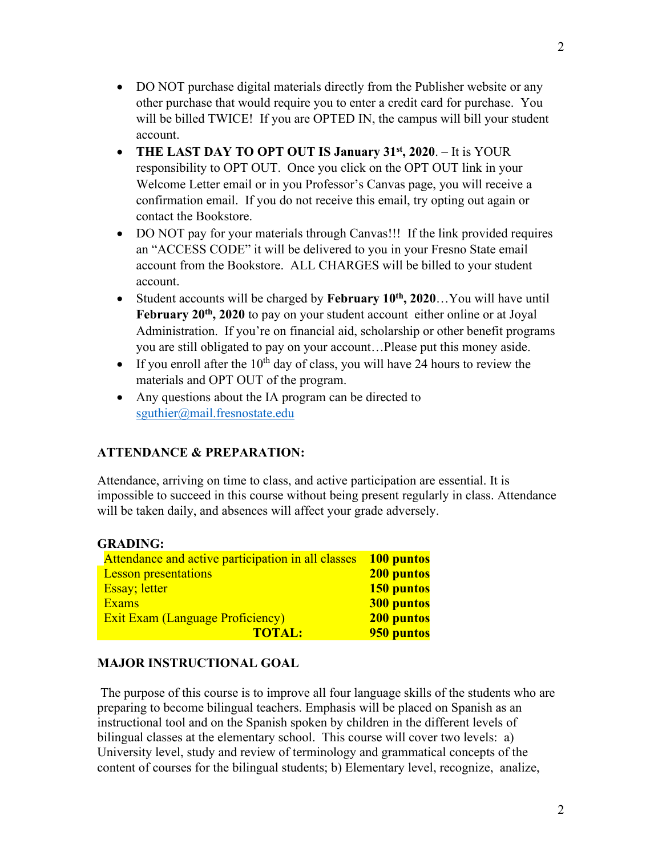- DO NOT purchase digital materials directly from the Publisher website or any other purchase that would require you to enter a credit card for purchase. You will be billed TWICE! If you are OPTED IN, the campus will bill your student account.
- **THE LAST DAY TO OPT OUT IS January 31st, 2020**. It is YOUR responsibility to OPT OUT. Once you click on the OPT OUT link in your Welcome Letter email or in you Professor's Canvas page, you will receive a confirmation email. If you do not receive this email, try opting out again or contact the Bookstore.
- DO NOT pay for your materials through Canvas!!! If the link provided requires an "ACCESS CODE" it will be delivered to you in your Fresno State email account from the Bookstore. ALL CHARGES will be billed to your student account.
- Student accounts will be charged by **February 10th, 2020**…You will have until February 20<sup>th</sup>, 2020 to pay on your student account either online or at Joyal Administration. If you're on financial aid, scholarship or other benefit programs you are still obligated to pay on your account…Please put this money aside.
- If you enroll after the  $10^{th}$  day of class, you will have 24 hours to review the materials and OPT OUT of the program.
- Any questions about the IA program can be directed to [sguthier@mail.fresnostate.edu](mailto:sguthier@mail.fresnostate.edu)

## **ATTENDANCE & PREPARATION:**

Attendance, arriving on time to class, and active participation are essential. It is impossible to succeed in this course without being present regularly in class. Attendance will be taken daily, and absences will affect your grade adversely.

| <b>GRADING:</b>                                    |                   |
|----------------------------------------------------|-------------------|
| Attendance and active participation in all classes | 100 puntos        |
| <b>Lesson presentations</b>                        | 200 puntos        |
| <b>Essay</b> ; letter                              | 150 puntos        |
| <b>Exams</b>                                       | <b>300 puntos</b> |
| <b>Exit Exam (Language Proficiency)</b>            | 200 puntos        |
| <b>TOTAL:</b>                                      | 950 puntos        |

## **MAJOR INSTRUCTIONAL GOAL**

The purpose of this course is to improve all four language skills of the students who are preparing to become bilingual teachers. Emphasis will be placed on Spanish as an instructional tool and on the Spanish spoken by children in the different levels of bilingual classes at the elementary school. This course will cover two levels: a) University level, study and review of terminology and grammatical concepts of the content of courses for the bilingual students; b) Elementary level, recognize, analize,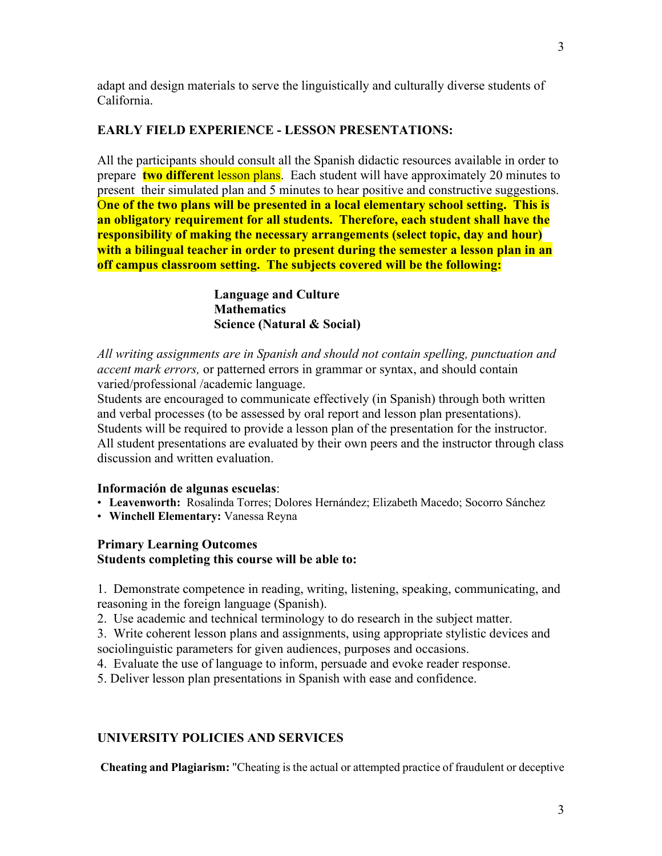adapt and design materials to serve the linguistically and culturally diverse students of California.

## **EARLY FIELD EXPERIENCE - LESSON PRESENTATIONS:**

All the participants should consult all the Spanish didactic resources available in order to prepare **two different** lesson plans. Each student will have approximately 20 minutes to present their simulated plan and 5 minutes to hear positive and constructive suggestions. O**ne of the two plans will be presented in a local elementary school setting. This is an obligatory requirement for all students. Therefore, each student shall have the responsibility of making the necessary arrangements (select topic, day and hour) with a bilingual teacher in order to present during the semester a lesson plan in an off campus classroom setting. The subjects covered will be the following:**

> **Language and Culture Mathematics Science (Natural & Social)**

*All writing assignments are in Spanish and should not contain spelling, punctuation and accent mark errors,* or patterned errors in grammar or syntax, and should contain varied/professional /academic language.

Students are encouraged to communicate effectively (in Spanish) through both written and verbal processes (to be assessed by oral report and lesson plan presentations). Students will be required to provide a lesson plan of the presentation for the instructor. All student presentations are evaluated by their own peers and the instructor through class discussion and written evaluation.

## **Información de algunas escuelas**:

- **Leavenworth:** Rosalinda Torres; Dolores Hernández; Elizabeth Macedo; Socorro Sánchez
- **Winchell Elementary:** Vanessa Reyna

### **Primary Learning Outcomes Students completing this course will be able to:**

1. Demonstrate competence in reading, writing, listening, speaking, communicating, and reasoning in the foreign language (Spanish).

2. Use academic and technical terminology to do research in the subject matter.

3. Write coherent lesson plans and assignments, using appropriate stylistic devices and sociolinguistic parameters for given audiences, purposes and occasions.

4. Evaluate the use of language to inform, persuade and evoke reader response.

5. Deliver lesson plan presentations in Spanish with ease and confidence.

## **UNIVERSITY POLICIES AND SERVICES**

**Cheating and Plagiarism:** "Cheating is the actual or attempted practice of fraudulent or deceptive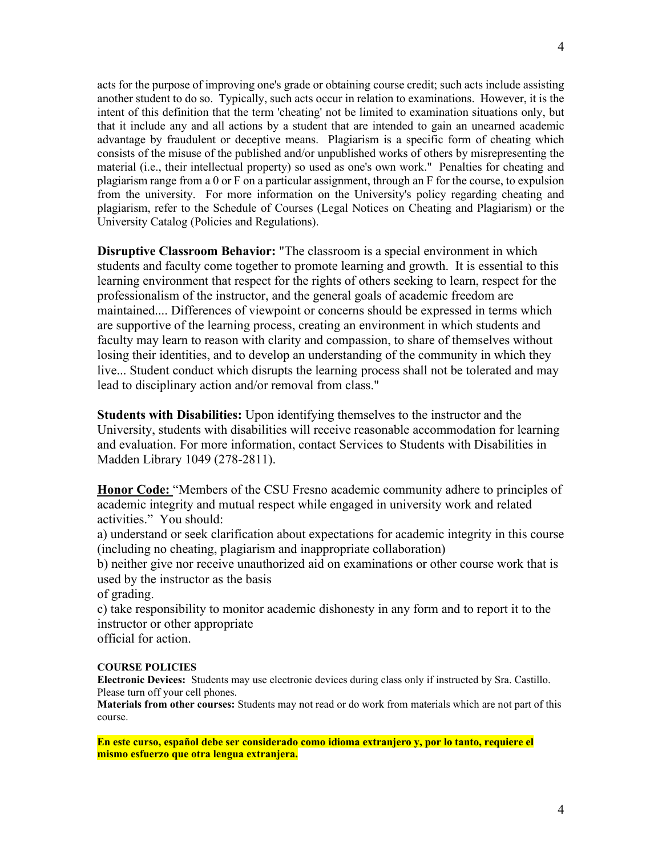acts for the purpose of improving one's grade or obtaining course credit; such acts include assisting another student to do so. Typically, such acts occur in relation to examinations. However, it is the intent of this definition that the term 'cheating' not be limited to examination situations only, but that it include any and all actions by a student that are intended to gain an unearned academic advantage by fraudulent or deceptive means. Plagiarism is a specific form of cheating which consists of the misuse of the published and/or unpublished works of others by misrepresenting the material (i.e., their intellectual property) so used as one's own work." Penalties for cheating and plagiarism range from a 0 or F on a particular assignment, through an F for the course, to expulsion from the university. For more information on the University's policy regarding cheating and plagiarism, refer to the Schedule of Courses (Legal Notices on Cheating and Plagiarism) or the University Catalog (Policies and Regulations).

**Disruptive Classroom Behavior:** "The classroom is a special environment in which students and faculty come together to promote learning and growth. It is essential to this learning environment that respect for the rights of others seeking to learn, respect for the professionalism of the instructor, and the general goals of academic freedom are maintained.... Differences of viewpoint or concerns should be expressed in terms which are supportive of the learning process, creating an environment in which students and faculty may learn to reason with clarity and compassion, to share of themselves without losing their identities, and to develop an understanding of the community in which they live... Student conduct which disrupts the learning process shall not be tolerated and may lead to disciplinary action and/or removal from class."

**Students with Disabilities:** Upon identifying themselves to the instructor and the University, students with disabilities will receive reasonable accommodation for learning and evaluation. For more information, contact Services to Students with Disabilities in Madden Library 1049 (278-2811).

**Honor Code:** "Members of the CSU Fresno academic community adhere to principles of academic integrity and mutual respect while engaged in university work and related activities." You should:

a) understand or seek clarification about expectations for academic integrity in this course (including no cheating, plagiarism and inappropriate collaboration)

b) neither give nor receive unauthorized aid on examinations or other course work that is used by the instructor as the basis

of grading.

c) take responsibility to monitor academic dishonesty in any form and to report it to the instructor or other appropriate official for action.

#### **COURSE POLICIES**

**Electronic Devices:** Students may use electronic devices during class only if instructed by Sra. Castillo. Please turn off your cell phones.

**Materials from other courses:** Students may not read or do work from materials which are not part of this course.

**En este curso, español debe ser considerado como idioma extranjero y, por lo tanto, requiere el mismo esfuerzo que otra lengua extranjera.**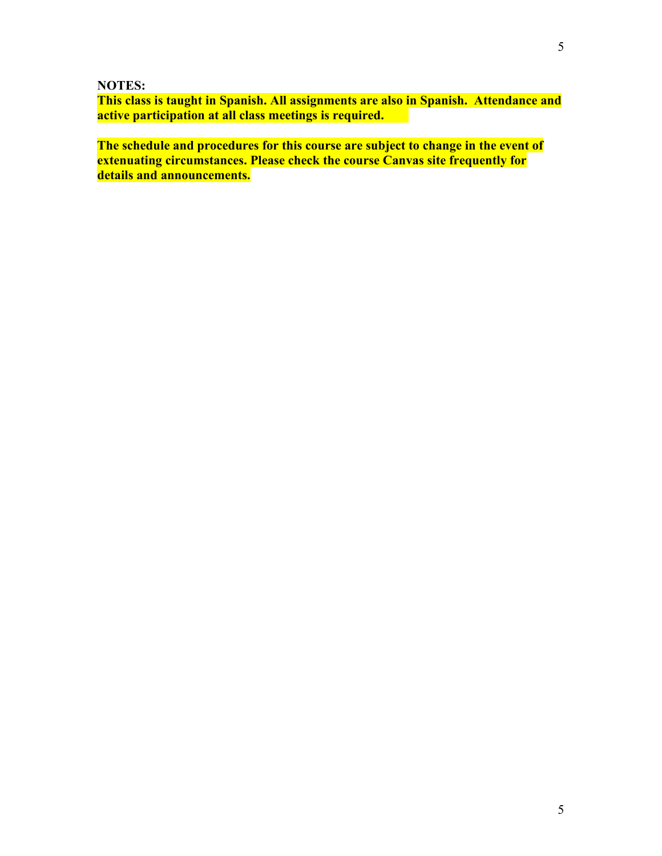**NOTES:**

**This class is taught in Spanish. All assignments are also in Spanish. Attendance and active participation at all class meetings is required.** 

**The schedule and procedures for this course are subject to change in the event of extenuating circumstances. Please check the course Canvas site frequently for details and announcements.**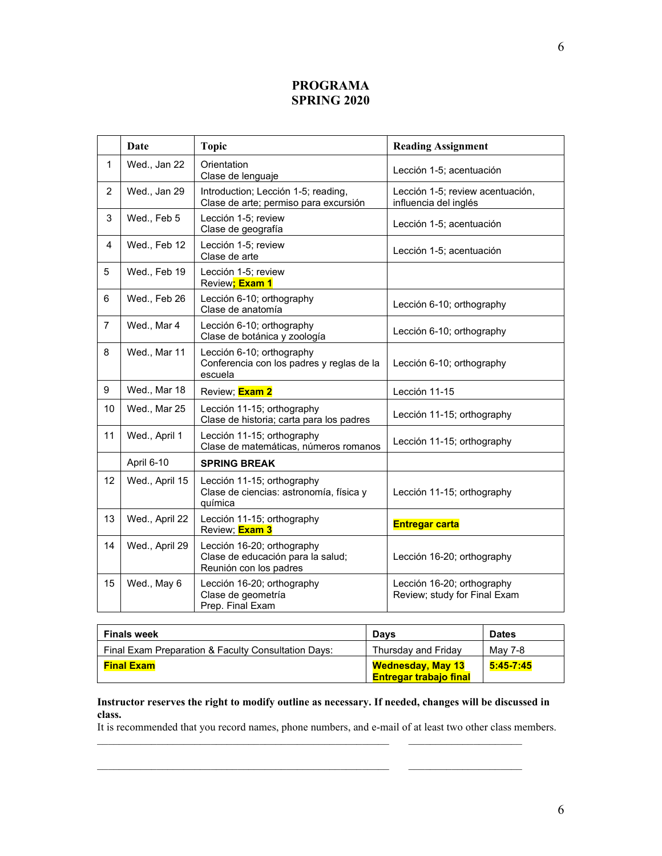## **PROGRAMA SPRING 2020**

|                | Date           | <b>Topic</b>                                                                              | <b>Reading Assignment</b>                                  |  |
|----------------|----------------|-------------------------------------------------------------------------------------------|------------------------------------------------------------|--|
| $\mathbf{1}$   | Wed., Jan 22   | Orientation<br>Clase de lenguaje                                                          | Lección 1-5; acentuación                                   |  |
| $\overline{2}$ | Wed., Jan 29   | Introduction; Lección 1-5; reading,<br>Clase de arte; permiso para excursión              | Lección 1-5; review acentuación,<br>influencia del inglés  |  |
| 3              | Wed., Feb 5    | Lección 1-5: review<br>Clase de geografía                                                 | Lección 1-5; acentuación                                   |  |
| 4              | Wed., Feb 12   | Lección 1-5; review<br>Clase de arte                                                      | Lección 1-5; acentuación                                   |  |
| 5              | Wed., Feb 19   | Lección 1-5; review<br>Review; Exam 1                                                     |                                                            |  |
| 6              | Wed., Feb 26   | Lección 6-10; orthography<br>Clase de anatomía                                            | Lección 6-10; orthography                                  |  |
| $\overline{7}$ | Wed., Mar 4    | Lección 6-10; orthography<br>Clase de botánica y zoología                                 | Lección 6-10; orthography                                  |  |
| 8              | Wed., Mar 11   | Lección 6-10; orthography<br>Conferencia con los padres y reglas de la<br>escuela         | Lección 6-10; orthography                                  |  |
| 9              | Wed., Mar 18   | Review; <b>Exam 2</b>                                                                     | Lección 11-15                                              |  |
| 10             | Wed., Mar 25   | Lección 11-15; orthography<br>Clase de historia; carta para los padres                    | Lección 11-15; orthography                                 |  |
| 11             | Wed., April 1  | Lección 11-15; orthography<br>Clase de matemáticas, números romanos                       | Lección 11-15; orthography                                 |  |
|                | April 6-10     | <b>SPRING BREAK</b>                                                                       |                                                            |  |
| 12             | Wed., April 15 | Lección 11-15; orthography<br>Clase de ciencias: astronomía, física y<br>química          | Lección 11-15; orthography                                 |  |
| 13             | Wed., April 22 | Lección 11-15; orthography<br>Review; <b>Exam 3</b>                                       | <b>Entregar carta</b>                                      |  |
| 14             | Wed., April 29 | Lección 16-20; orthography<br>Clase de educación para la salud;<br>Reunión con los padres | Lección 16-20; orthography                                 |  |
| 15             | Wed., May 6    | Lección 16-20; orthography<br>Clase de geometría<br>Prep. Final Exam                      | Lección 16-20; orthography<br>Review; study for Final Exam |  |

| <b>Finals week</b>                                  | Davs                                                      | <b>Dates</b> |
|-----------------------------------------------------|-----------------------------------------------------------|--------------|
| Final Exam Preparation & Faculty Consultation Days: | Thursday and Friday                                       | Mav 7-8      |
| <b>Final Exam</b>                                   | <b>Wednesday, May 13</b><br><b>Entregar trabajo final</b> | 5:45-7:45    |

#### **Instructor reserves the right to modify outline as necessary. If needed, changes will be discussed in class.**

It is recommended that you record names, phone numbers, and e-mail of at least two other class members.

 $\mathcal{L}_\mathcal{L} = \mathcal{L}_\mathcal{L} = \mathcal{L}_\mathcal{L} = \mathcal{L}_\mathcal{L} = \mathcal{L}_\mathcal{L} = \mathcal{L}_\mathcal{L} = \mathcal{L}_\mathcal{L} = \mathcal{L}_\mathcal{L} = \mathcal{L}_\mathcal{L} = \mathcal{L}_\mathcal{L} = \mathcal{L}_\mathcal{L} = \mathcal{L}_\mathcal{L} = \mathcal{L}_\mathcal{L} = \mathcal{L}_\mathcal{L} = \mathcal{L}_\mathcal{L} = \mathcal{L}_\mathcal{L} = \mathcal{L}_\mathcal{L}$ 

\_\_\_\_\_\_\_\_\_\_\_\_\_\_\_\_\_\_\_\_\_\_\_\_\_\_\_\_\_\_\_\_\_\_\_\_\_\_\_\_\_\_\_\_\_\_\_\_\_\_\_\_\_\_ \_\_\_\_\_\_\_\_\_\_\_\_\_\_\_\_\_\_\_\_\_